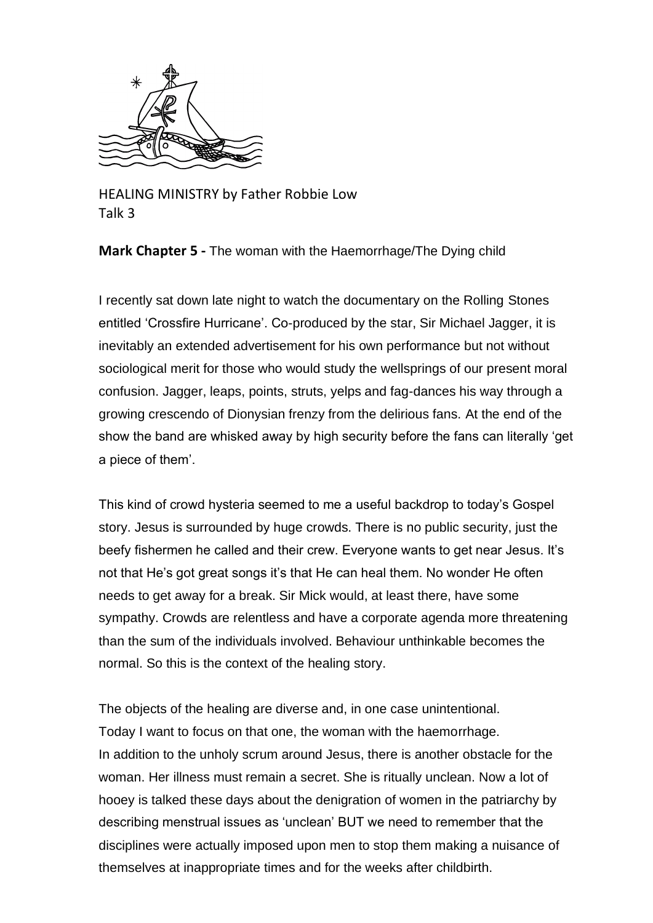

HEALING MINISTRY by Father Robbie Low Talk 3

**Mark Chapter 5 -** The woman with the Haemorrhage/The Dying child

I recently sat down late night to watch the documentary on the Rolling Stones entitled 'Crossfire Hurricane'. Co-produced by the star, Sir Michael Jagger, it is inevitably an extended advertisement for his own performance but not without sociological merit for those who would study the wellsprings of our present moral confusion. Jagger, leaps, points, struts, yelps and fag-dances his way through a growing crescendo of Dionysian frenzy from the delirious fans. At the end of the show the band are whisked away by high security before the fans can literally 'get a piece of them'.

This kind of crowd hysteria seemed to me a useful backdrop to today's Gospel story. Jesus is surrounded by huge crowds. There is no public security, just the beefy fishermen he called and their crew. Everyone wants to get near Jesus. It's not that He's got great songs it's that He can heal them. No wonder He often needs to get away for a break. Sir Mick would, at least there, have some sympathy. Crowds are relentless and have a corporate agenda more threatening than the sum of the individuals involved. Behaviour unthinkable becomes the normal. So this is the context of the healing story.

The objects of the healing are diverse and, in one case unintentional. Today I want to focus on that one, the woman with the haemorrhage. In addition to the unholy scrum around Jesus, there is another obstacle for the woman. Her illness must remain a secret. She is ritually unclean. Now a lot of hooey is talked these days about the denigration of women in the patriarchy by describing menstrual issues as 'unclean' BUT we need to remember that the disciplines were actually imposed upon men to stop them making a nuisance of themselves at inappropriate times and for the weeks after childbirth.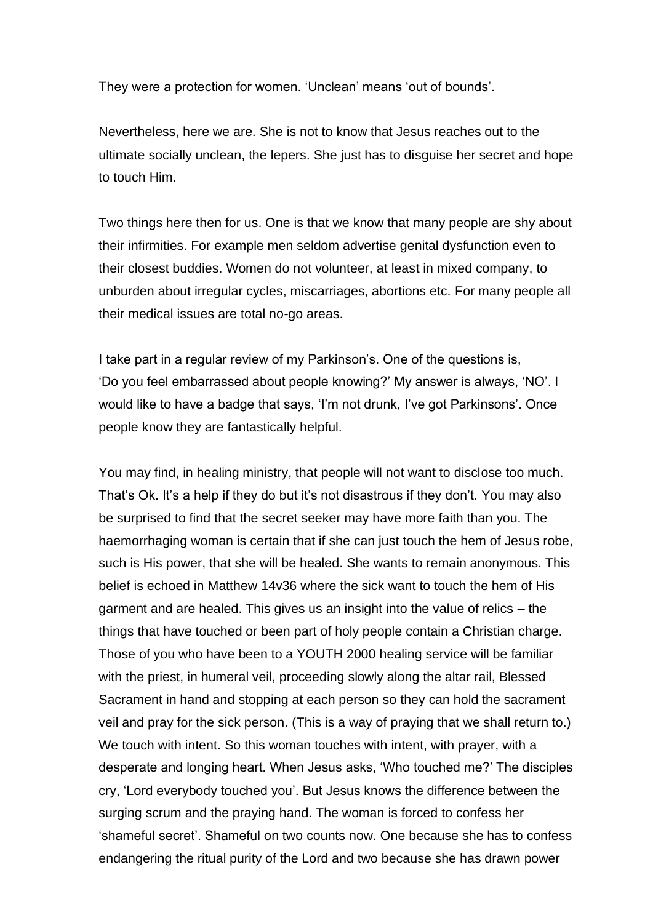They were a protection for women. 'Unclean' means 'out of bounds'.

Nevertheless, here we are. She is not to know that Jesus reaches out to the ultimate socially unclean, the lepers. She just has to disguise her secret and hope to touch Him.

Two things here then for us. One is that we know that many people are shy about their infirmities. For example men seldom advertise genital dysfunction even to their closest buddies. Women do not volunteer, at least in mixed company, to unburden about irregular cycles, miscarriages, abortions etc. For many people all their medical issues are total no-go areas.

I take part in a regular review of my Parkinson's. One of the questions is, 'Do you feel embarrassed about people knowing?' My answer is always, 'NO'. I would like to have a badge that says, 'I'm not drunk, I've got Parkinsons'. Once people know they are fantastically helpful.

You may find, in healing ministry, that people will not want to disclose too much. That's Ok. It's a help if they do but it's not disastrous if they don't. You may also be surprised to find that the secret seeker may have more faith than you. The haemorrhaging woman is certain that if she can just touch the hem of Jesus robe, such is His power, that she will be healed. She wants to remain anonymous. This belief is echoed in Matthew 14v36 where the sick want to touch the hem of His garment and are healed. This gives us an insight into the value of relics – the things that have touched or been part of holy people contain a Christian charge. Those of you who have been to a YOUTH 2000 healing service will be familiar with the priest, in humeral veil, proceeding slowly along the altar rail, Blessed Sacrament in hand and stopping at each person so they can hold the sacrament veil and pray for the sick person. (This is a way of praying that we shall return to.) We touch with intent. So this woman touches with intent, with prayer, with a desperate and longing heart. When Jesus asks, 'Who touched me?' The disciples cry, 'Lord everybody touched you'. But Jesus knows the difference between the surging scrum and the praying hand. The woman is forced to confess her 'shameful secret'. Shameful on two counts now. One because she has to confess endangering the ritual purity of the Lord and two because she has drawn power